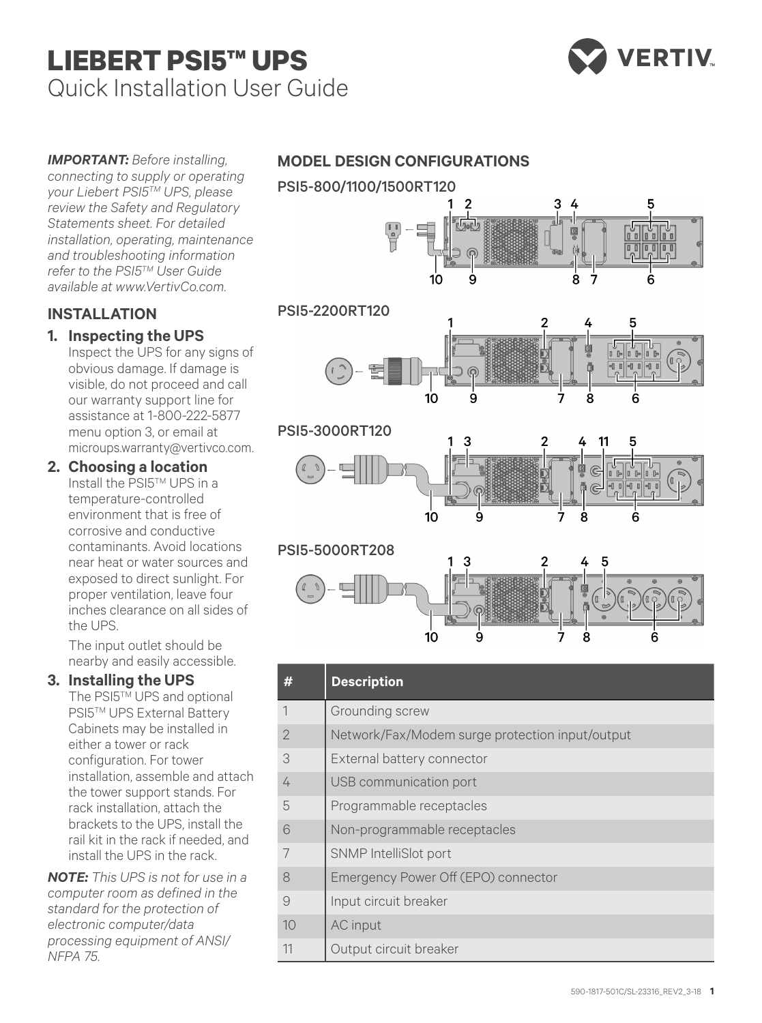# **LIEBERT PSI5™ UPS** Quick Installation User Guide



*IMPORTANT: Before installing, connecting to supply or operating your Liebert PSI5TM UPS, please review the Safety and Regulatory Statements sheet. For detailed installation, operating, maintenance and troubleshooting information refer to the PSI5TM User Guide available at www.VertivCo.com.*

# **INSTALLATION**

# **1. Inspecting the UPS**

Inspect the UPS for any signs of obvious damage. If damage is visible, do not proceed and call our warranty support line for assistance at 1-800-222-5877 menu option 3, or email at microups.warranty@vertivco.com.

**2. Choosing a location** Install the PSI5TM UPS in a temperature-controlled environment that is free of corrosive and conductive contaminants. Avoid locations near heat or water sources and exposed to direct sunlight. For proper ventilation, leave four inches clearance on all sides of the UPS.

The input outlet should be nearby and easily accessible.

## **3. Installing the UPS**

The PSI5™ UPS and optional **PSI5™ UPS External Battery** Cabinets may be installed in either a tower or rack configuration. For tower installation, assemble and attach the tower support stands. For rack installation, attach the brackets to the UPS, install the rail kit in the rack if needed, and install the UPS in the rack.

*NOTE: This UPS is not for use in a computer room as defined in the standard for the protection of electronic computer/data processing equipment of ANSI/ NFPA 75.*

## **MODEL DESIGN CONFIGURATIONS**



|    | <b>Description</b>                              |
|----|-------------------------------------------------|
| 1  | Grounding screw                                 |
| 2  | Network/Fax/Modem surge protection input/output |
| 3  | External battery connector                      |
| 4  | USB communication port                          |
| 5  | Programmable receptacles                        |
| 6  | Non-programmable receptacles                    |
|    | SNMP IntelliSlot port                           |
| 8  | Emergency Power Off (EPO) connector             |
| 9  | Input circuit breaker                           |
| 10 | AC input                                        |
| 11 | Output circuit breaker                          |

10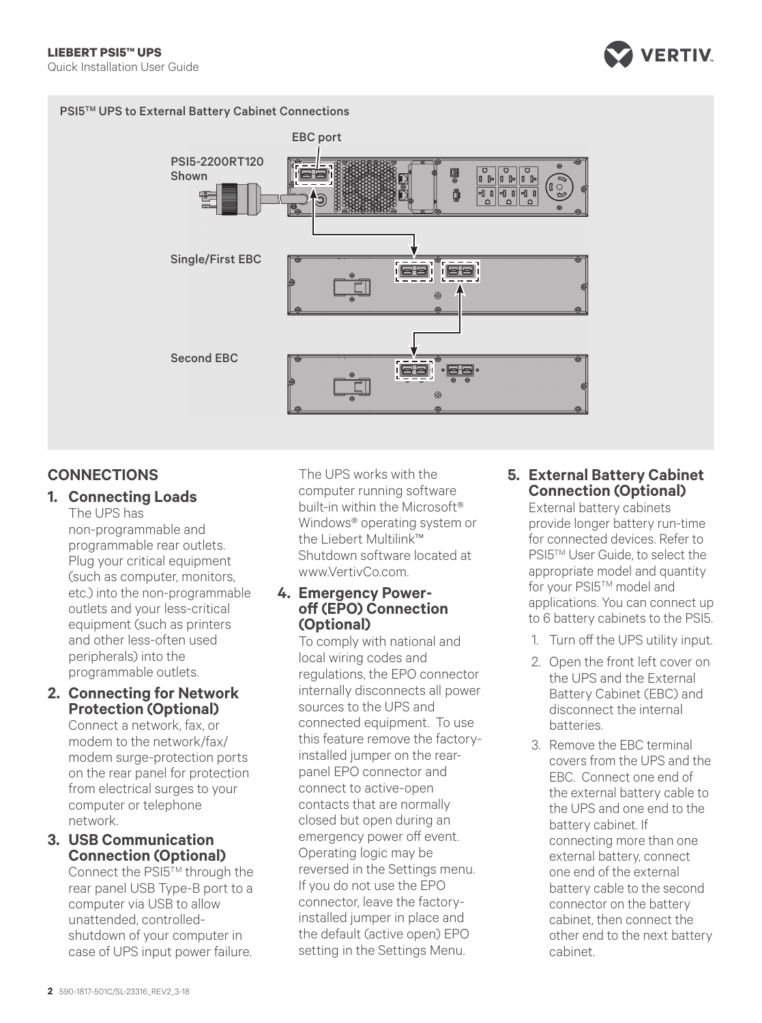

#### PSI5™ UPS to External Battery Cabinet Connections



## **CONNECTIONS**

#### **1. Connecting Loads** The UPS has

non-programmable and programmable rear outlets. Plug your critical equipment (such as computer, monitors, etc.) into the non-programmable outlets and your less-critical equipment (such as printers and other less-often used peripherals) into the programmable outlets.

**2. Connecting for Network Protection (Optional)**

> Connect a network, fax, or modem to the network/fax/ modem surge-protection ports on the rear panel for protection from electrical surges to your computer or telephone network.

**3. USB Communication Connection (Optional)**

Connect the PSI5™ through the rear panel USB Type-B port to a computer via USB to allow unattended, controlledshutdown of your computer in case of UPS input power failure. The UPS works with the computer running software built-in within the Microsoft® Windows® operating system or the Liebert Multilink™ Shutdown software located at www.VertivCo.com.

#### **4. Emergency Poweroff (EPO) Connection (Optional)**

To comply with national and local wiring codes and regulations, the EPO connector internally disconnects all power sources to the UPS and connected equipment. To use this feature remove the factoryinstalled jumper on the rearpanel EPO connector and connect to active-open contacts that are normally closed but open during an emergency power off event. Operating logic may be reversed in the Settings menu. If you do not use the EPO connector, leave the factoryinstalled jumper in place and the default (active open) EPO setting in the Settings Menu.

### **5. External Battery Cabinet Connection (Optional)**

External battery cabinets provide longer battery run-time for connected devices. Refer to PSI5™ User Guide, to select the appropriate model and quantity for your PSI5™ model and applications. You can connect up to 6 battery cabinets to the PSI5.

- 1. Turn off the UPS utility input.
- 2. Open the front left cover on the UPS and the External Battery Cabinet (EBC) and disconnect the internal batteries.
- 3. Remove the EBC terminal covers from the UPS and the EBC. Connect one end of the external battery cable to the UPS and one end to the battery cabinet. If connecting more than one external battery, connect one end of the external battery cable to the second connector on the battery cabinet, then connect the other end to the next battery cabinet.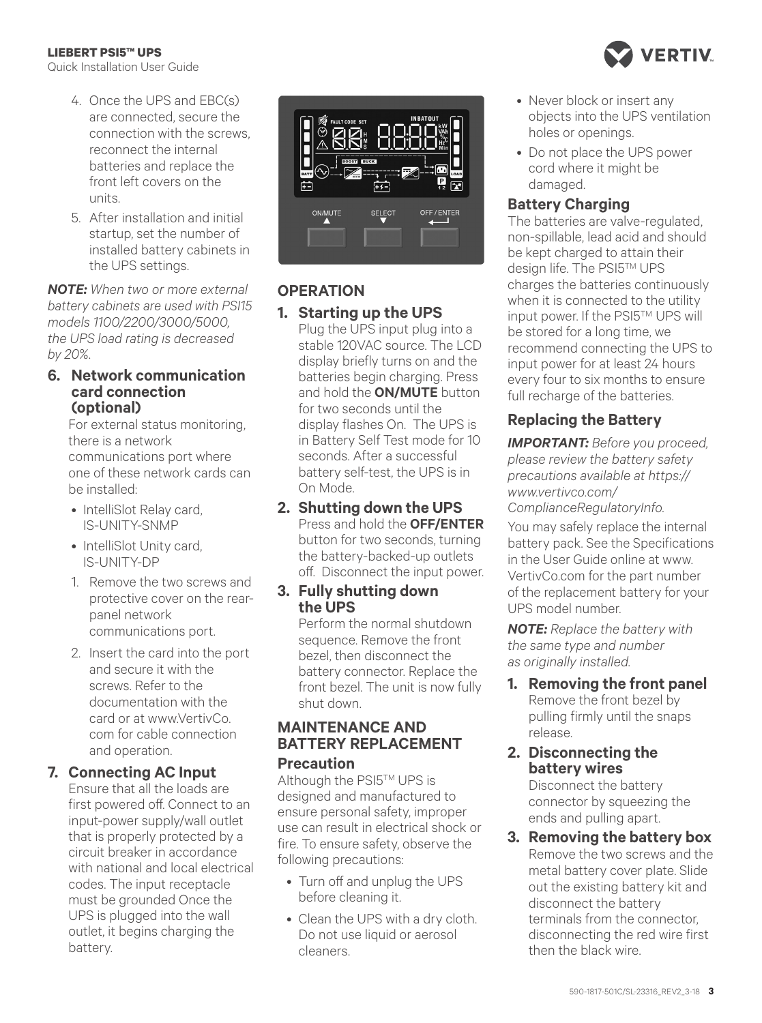#### **LIEBERT PSI5™ UPS**

Quick Installation User Guide

- 4. Once the UPS and EBC(s) are connected, secure the connection with the screws, reconnect the internal batteries and replace the front left covers on the units.
- 5. After installation and initial startup, set the number of installed battery cabinets in the UPS settings.

*NOTE: When two or more external battery cabinets are used with PSI15 models 1100/2200/3000/5000, the UPS load rating is decreased by 20%.* 

#### **6. Network communication card connection (optional)**

For external status monitoring, there is a network communications port where one of these network cards can be installed:

- IntelliSlot Relay card, IS-UNITY-SNMP
- IntelliSlot Unity card, IS-UNITY-DP
- 1. Remove the two screws and protective cover on the rearpanel network communications port.
- 2. Insert the card into the port and secure it with the screws. Refer to the documentation with the card or at www.VertivCo. com for cable connection and operation.

## **7. Connecting AC Input**

Ensure that all the loads are first powered off. Connect to an input-power supply/wall outlet that is properly protected by a circuit breaker in accordance with national and local electrical codes. The input receptacle must be grounded Once the UPS is plugged into the wall outlet, it begins charging the battery.



## **OPERATION**

## **1. Starting up the UPS**

Plug the UPS input plug into a stable 120VAC source. The LCD display briefly turns on and the batteries begin charging. Press and hold the **ON/MUTE** button for two seconds until the display flashes On. The UPS is in Battery Self Test mode for 10 seconds. After a successful battery self-test, the UPS is in On Mode.

#### **2. Shutting down the UPS** Press and hold the **OFF/ENTER** button for two seconds, turning the battery-backed-up outlets off. Disconnect the input power.

## **3. Fully shutting down the UPS**

Perform the normal shutdown sequence. Remove the front bezel, then disconnect the battery connector. Replace the front bezel. The unit is now fully shut down.

#### **MAINTENANCE AND BATTERY REPLACEMENT Precaution**

Although the PSI5™ UPS is designed and manufactured to ensure personal safety, improper use can result in electrical shock or fire. To ensure safety, observe the following precautions:

- Turn off and unplug the UPS before cleaning it.
- Clean the UPS with a dry cloth. Do not use liquid or aerosol cleaners.
- Never block or insert any objects into the UPS ventilation holes or openings.
- Do not place the UPS power cord where it might be damaged.

## **Battery Charging**

The batteries are valve-regulated, non-spillable, lead acid and should be kept charged to attain their design life. The PSI5™ UPS charges the batteries continuously when it is connected to the utility input power. If the PSI5™ UPS will be stored for a long time, we recommend connecting the UPS to input power for at least 24 hours every four to six months to ensure full recharge of the batteries.

## **Replacing the Battery**

**IMPORTANT:** Before you proceed, *please review the battery safety precautions available at https:// www.vertivco.com/*

*ComplianceRegulatoryInfo.*

You may safely replace the internal battery pack. See the Specifications in the User Guide online at www. VertivCo.com for the part number of the replacement battery for your UPS model number.

*NOTE: Replace the battery with the same type and number as originally installed.*

**1. Removing the front panel** Remove the front bezel by pulling firmly until the snaps release.

#### **2. Disconnecting the battery wires**

Disconnect the battery connector by squeezing the ends and pulling apart.

**3. Removing the battery box** Remove the two screws and the metal battery cover plate. Slide out the existing battery kit and disconnect the battery terminals from the connector, disconnecting the red wire first then the black wire.